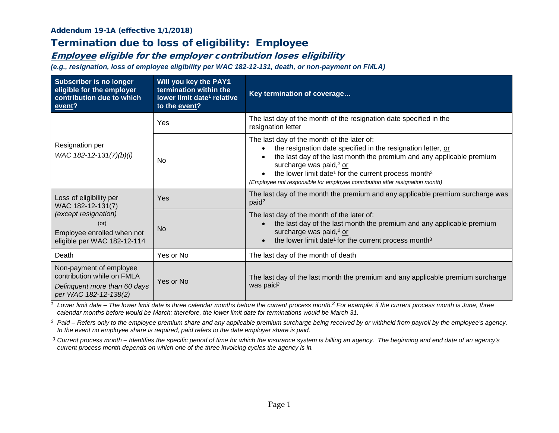#### Addendum 19-1A (effective 1/1/2018)

# Termination due to loss of eligibility: Employee

### Employee eligible for the employer contribution loses eligibility

*(e.g., resignation, loss of employee eligibility per WAC 182-12-131, death, or non-payment on FMLA)*

| <b>Subscriber is no longer</b><br>eligible for the employer<br>contribution due to which<br>event?                                        | Will you key the PAY1<br>termination within the<br>lower limit date <sup>1</sup> relative<br>to the event? | Key termination of coverage                                                                                                                                                                                                                                                                                                                                                                             |  |
|-------------------------------------------------------------------------------------------------------------------------------------------|------------------------------------------------------------------------------------------------------------|---------------------------------------------------------------------------------------------------------------------------------------------------------------------------------------------------------------------------------------------------------------------------------------------------------------------------------------------------------------------------------------------------------|--|
| Resignation per<br>WAC 182-12-131(7)(b)(i)                                                                                                | Yes                                                                                                        | The last day of the month of the resignation date specified in the<br>resignation letter                                                                                                                                                                                                                                                                                                                |  |
|                                                                                                                                           | No.                                                                                                        | The last day of the month of the later of:<br>the resignation date specified in the resignation letter, or<br>the last day of the last month the premium and any applicable premium<br>surcharge was paid, <sup>2</sup> or<br>the lower limit date <sup>1</sup> for the current process month <sup>3</sup><br>$\bullet$<br>(Employee not responsible for employee contribution after resignation month) |  |
| Loss of eligibility per<br>WAC 182-12-131(7)<br>(except resignation)<br>(or)<br>Employee enrolled when not<br>eligible per WAC 182-12-114 | Yes                                                                                                        | The last day of the month the premium and any applicable premium surcharge was<br>paid <sup>2</sup>                                                                                                                                                                                                                                                                                                     |  |
|                                                                                                                                           | <b>No</b>                                                                                                  | The last day of the month of the later of:<br>the last day of the last month the premium and any applicable premium<br>surcharge was paid, <sup>2</sup> or<br>the lower limit date <sup>1</sup> for the current process month <sup>3</sup>                                                                                                                                                              |  |
| Death                                                                                                                                     | Yes or No                                                                                                  | The last day of the month of death                                                                                                                                                                                                                                                                                                                                                                      |  |
| Non-payment of employee<br>contribution while on FMLA<br>Delinquent more than 60 days<br>per WAC 182-12-138(2)                            | Yes or No                                                                                                  | The last day of the last month the premium and any applicable premium surcharge<br>was paid <sup>2</sup>                                                                                                                                                                                                                                                                                                |  |

*<sup>1</sup> Lower limit date – The lower limit date is three calendar months before the current process month. <sup>3</sup> For example: if the current process month is June, three calendar months before would be March; therefore, the lower limit date for terminations would be March 31.*

<sup>2</sup> Paid – Refers only to the employee premium share and any applicable premium surcharge being received by or withheld from payroll by the employee's agency. *In the event no employee share is required, paid refers to the date employer share is paid.*

*<sup>3</sup> Current process month – Identifies the specific period of time for which the insurance system is billing an agency. The beginning and end date of an agency's current process month depends on which one of the three invoicing cycles the agency is in.*